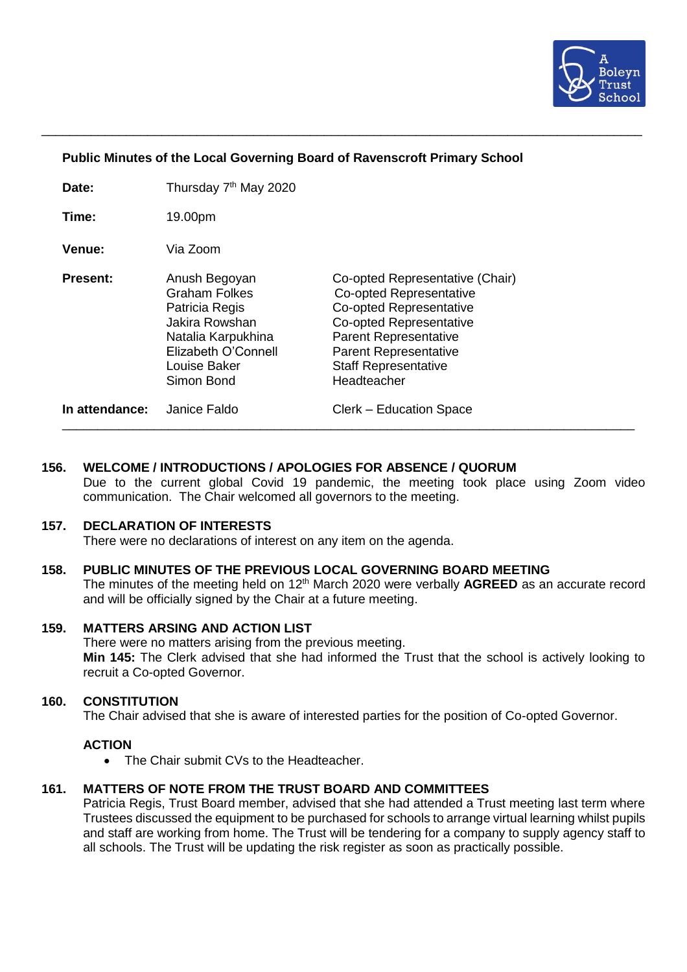

## **Public Minutes of the Local Governing Board of Ravenscroft Primary School**

\_\_\_\_\_\_\_\_\_\_\_\_\_\_\_\_\_\_\_\_\_\_\_\_\_\_\_\_\_\_\_\_\_\_\_\_\_\_\_\_\_\_\_\_\_\_\_\_\_\_\_\_\_\_\_\_\_\_\_\_\_\_\_\_\_\_\_\_\_\_\_\_\_\_\_\_\_\_\_\_\_\_\_\_\_

| Date:           | Thursday 7 <sup>th</sup> May 2020                                                                                                                    |                                                                                                                                                                                                                                |
|-----------------|------------------------------------------------------------------------------------------------------------------------------------------------------|--------------------------------------------------------------------------------------------------------------------------------------------------------------------------------------------------------------------------------|
| Time:           | 19.00pm                                                                                                                                              |                                                                                                                                                                                                                                |
| <b>Venue:</b>   | Via Zoom                                                                                                                                             |                                                                                                                                                                                                                                |
| <b>Present:</b> | Anush Begoyan<br><b>Graham Folkes</b><br>Patricia Regis<br>Jakira Rowshan<br>Natalia Karpukhina<br>Elizabeth O'Connell<br>Louise Baker<br>Simon Bond | Co-opted Representative (Chair)<br>Co-opted Representative<br>Co-opted Representative<br>Co-opted Representative<br><b>Parent Representative</b><br><b>Parent Representative</b><br><b>Staff Representative</b><br>Headteacher |
| In attendance:  | Janice Faldo                                                                                                                                         | Clerk – Education Space                                                                                                                                                                                                        |

## **156. WELCOME / INTRODUCTIONS / APOLOGIES FOR ABSENCE / QUORUM**

Due to the current global Covid 19 pandemic, the meeting took place using Zoom video communication. The Chair welcomed all governors to the meeting.

# **157. DECLARATION OF INTERESTS**

There were no declarations of interest on any item on the agenda.

#### **158. PUBLIC MINUTES OF THE PREVIOUS LOCAL GOVERNING BOARD MEETING** The minutes of the meeting held on 12<sup>th</sup> March 2020 were verbally **AGREED** as an accurate record and will be officially signed by the Chair at a future meeting.

## **159. MATTERS ARSING AND ACTION LIST**

There were no matters arising from the previous meeting. **Min 145:** The Clerk advised that she had informed the Trust that the school is actively looking to recruit a Co-opted Governor.

### **160. CONSTITUTION**

The Chair advised that she is aware of interested parties for the position of Co-opted Governor.

### **ACTION**

• The Chair submit CVs to the Headteacher.

# **161. MATTERS OF NOTE FROM THE TRUST BOARD AND COMMITTEES**

Patricia Regis, Trust Board member, advised that she had attended a Trust meeting last term where Trustees discussed the equipment to be purchased for schools to arrange virtual learning whilst pupils and staff are working from home. The Trust will be tendering for a company to supply agency staff to all schools. The Trust will be updating the risk register as soon as practically possible.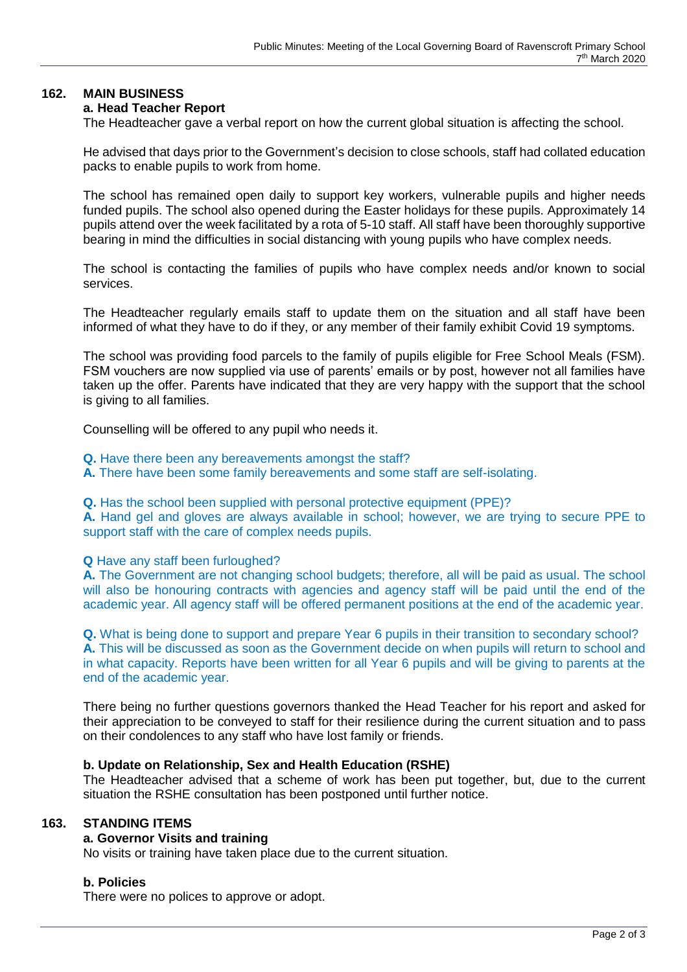# **162. MAIN BUSINESS**

# **a. Head Teacher Report**

The Headteacher gave a verbal report on how the current global situation is affecting the school.

He advised that days prior to the Government's decision to close schools, staff had collated education packs to enable pupils to work from home.

The school has remained open daily to support key workers, vulnerable pupils and higher needs funded pupils. The school also opened during the Easter holidays for these pupils. Approximately 14 pupils attend over the week facilitated by a rota of 5-10 staff. All staff have been thoroughly supportive bearing in mind the difficulties in social distancing with young pupils who have complex needs.

The school is contacting the families of pupils who have complex needs and/or known to social services.

The Headteacher regularly emails staff to update them on the situation and all staff have been informed of what they have to do if they, or any member of their family exhibit Covid 19 symptoms.

The school was providing food parcels to the family of pupils eligible for Free School Meals (FSM). FSM vouchers are now supplied via use of parents' emails or by post, however not all families have taken up the offer. Parents have indicated that they are very happy with the support that the school is giving to all families.

Counselling will be offered to any pupil who needs it.

**Q.** Have there been any bereavements amongst the staff?

**A.** There have been some family bereavements and some staff are self-isolating.

**Q.** Has the school been supplied with personal protective equipment (PPE)?

**A.** Hand gel and gloves are always available in school; however, we are trying to secure PPE to support staff with the care of complex needs pupils.

**Q** Have any staff been furloughed?

**A.** The Government are not changing school budgets; therefore, all will be paid as usual. The school will also be honouring contracts with agencies and agency staff will be paid until the end of the academic year. All agency staff will be offered permanent positions at the end of the academic year.

**Q.** What is being done to support and prepare Year 6 pupils in their transition to secondary school? **A.** This will be discussed as soon as the Government decide on when pupils will return to school and in what capacity. Reports have been written for all Year 6 pupils and will be giving to parents at the end of the academic year.

There being no further questions governors thanked the Head Teacher for his report and asked for their appreciation to be conveyed to staff for their resilience during the current situation and to pass on their condolences to any staff who have lost family or friends.

#### **b. Update on Relationship, Sex and Health Education (RSHE)**

The Headteacher advised that a scheme of work has been put together, but, due to the current situation the RSHE consultation has been postponed until further notice.

### **163. STANDING ITEMS**

### **a. Governor Visits and training**

No visits or training have taken place due to the current situation.

#### **b. Policies**

There were no polices to approve or adopt.